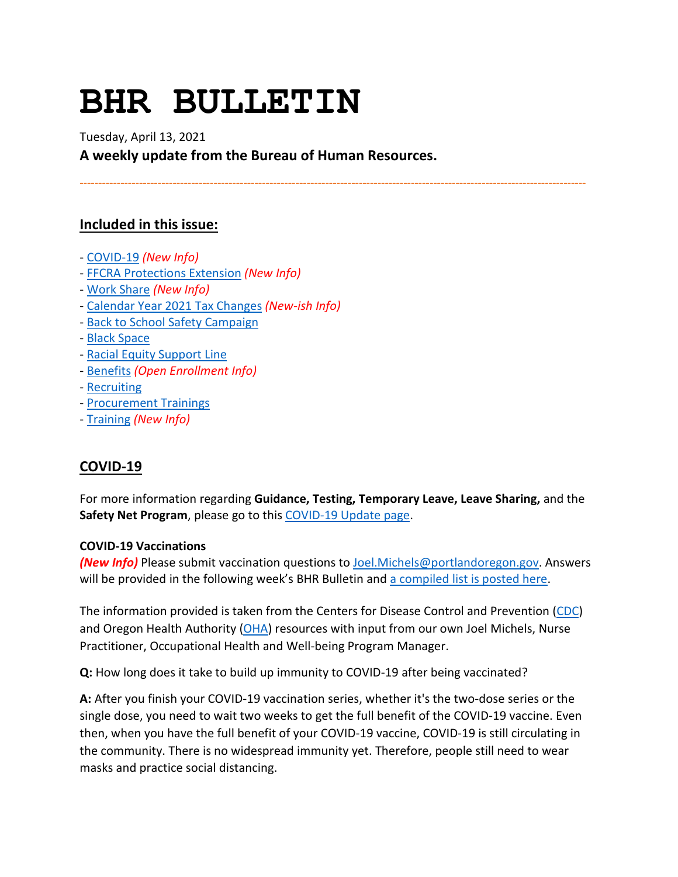# **BHR BULLETIN**

Tuesday, April 13, 2021 **A weekly update from the Bureau of Human Resources.**

**----------------------------------------------------------------------------------------------------------------------------------------**

# **Included in this issue:**

- [COVID-19](#page-0-0) *(New Info)*
- [FFCRA Protections Extension](#page-1-0) *(New Info)*
- [Work Share](#page-2-0) *(New Info)*
- [Calendar Year 2021 Tax Changes](#page-3-0) *(New-ish Info)*
- [Back to School Safety Campaign](#page-4-0)
- [Black Space](#page-4-1)
- [Racial Equity Support Line](#page-5-0)
- [Benefits](#page-5-1) *(Open Enrollment Info)*
- [Recruiting](#page-8-0)
- [Procurement Trainings](#page-8-1)
- [Training](#page-8-2) *(New Info)*

# <span id="page-0-0"></span>**COVID-19**

For more information regarding **Guidance, Testing, Temporary Leave, Leave Sharing,** and the **Safety Net Program**, please go to thi[s COVID-19 Update page.](https://www.portlandoregon.gov/bhr/article/779927)

#### **COVID-19 Vaccinations**

*(New Info)* Please submit vaccination questions to [Joel.Michels@portlandoregon.gov.](mailto:Joel.Michels@portlandoregon.gov) Answers will be provided in the following week's BHR Bulletin and [a compiled list is posted here.](https://www.portlandoregon.gov/bhr/article/782929)

The information provided is taken from the Centers for Disease Control and Prevention [\(CDC\)](https://www.cdc.gov/coronavirus/2019-ncov/vaccines/index.html) and Oregon Health Authority [\(OHA\)](https://covidvaccine.oregon.gov/) resources with input from our own Joel Michels, Nurse Practitioner, Occupational Health and Well-being Program Manager.

**Q:** How long does it take to build up immunity to COVID-19 after being vaccinated?

**A:** After you finish your COVID-19 vaccination series, whether it's the two-dose series or the single dose, you need to wait two weeks to get the full benefit of the COVID-19 vaccine. Even then, when you have the full benefit of your COVID-19 vaccine, COVID-19 is still circulating in the community. There is no widespread immunity yet. Therefore, people still need to wear masks and practice social distancing.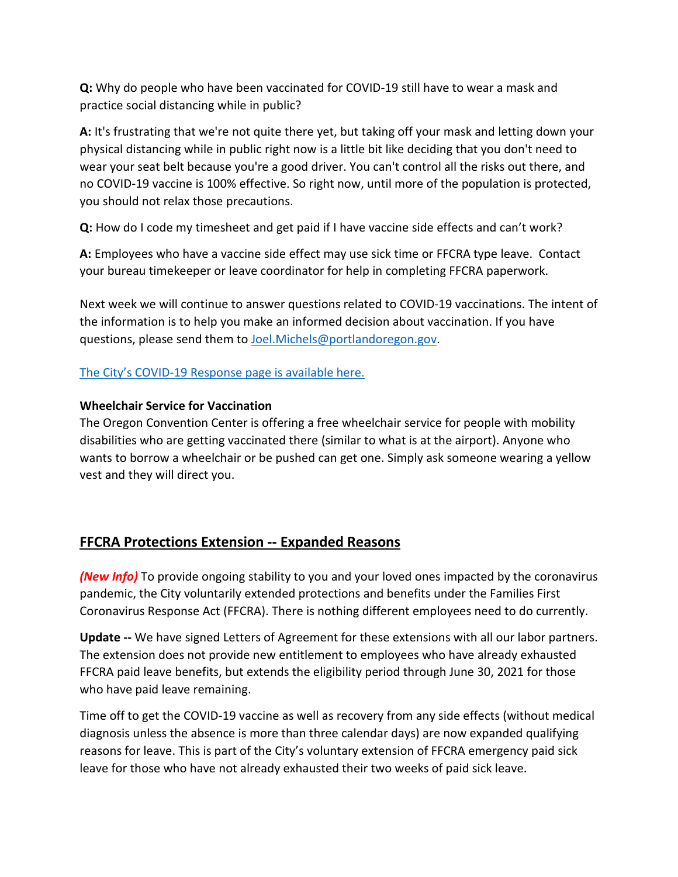**Q:** Why do people who have been vaccinated for COVID-19 still have to wear a mask and practice social distancing while in public?

**A:** It's frustrating that we're not quite there yet, but taking off your mask and letting down your physical distancing while in public right now is a little bit like deciding that you don't need to wear your seat belt because you're a good driver. You can't control all the risks out there, and no COVID-19 vaccine is 100% effective. So right now, until more of the population is protected, you should not relax those precautions.

**Q:** How do I code my timesheet and get paid if I have vaccine side effects and can't work?

**A:** Employees who have a vaccine side effect may use sick time or FFCRA type leave. Contact your bureau timekeeper or leave coordinator for help in completing FFCRA paperwork.

Next week we will continue to answer questions related to COVID-19 vaccinations. The intent of the information is to help you make an informed decision about vaccination. If you have questions, please send them to [Joel.Michels@portlandoregon.gov.](mailto:Joel.Michels@portlandoregon.gov)

## [The City's COVID-19 Response page is available here.](https://www.portlandoregon.gov/bhr/index.cfm?&c=81055)

### **Wheelchair Service for Vaccination**

The Oregon Convention Center is offering a free wheelchair service for people with mobility disabilities who are getting vaccinated there (similar to what is at the airport). Anyone who wants to borrow a wheelchair or be pushed can get one. Simply ask someone wearing a yellow vest and they will direct you.

# <span id="page-1-0"></span>**FFCRA Protections Extension -- Expanded Reasons**

*(New Info)* To provide ongoing stability to you and your loved ones impacted by the coronavirus pandemic, the City voluntarily extended protections and benefits under the Families First Coronavirus Response Act (FFCRA). There is nothing different employees need to do currently.

**Update --** We have signed Letters of Agreement for these extensions with all our labor partners. The extension does not provide new entitlement to employees who have already exhausted FFCRA paid leave benefits, but extends the eligibility period through June 30, 2021 for those who have paid leave remaining.

Time off to get the COVID-19 vaccine as well as recovery from any side effects (without medical diagnosis unless the absence is more than three calendar days) are now expanded qualifying reasons for leave. This is part of the City's voluntary extension of FFCRA emergency paid sick leave for those who have not already exhausted their two weeks of paid sick leave.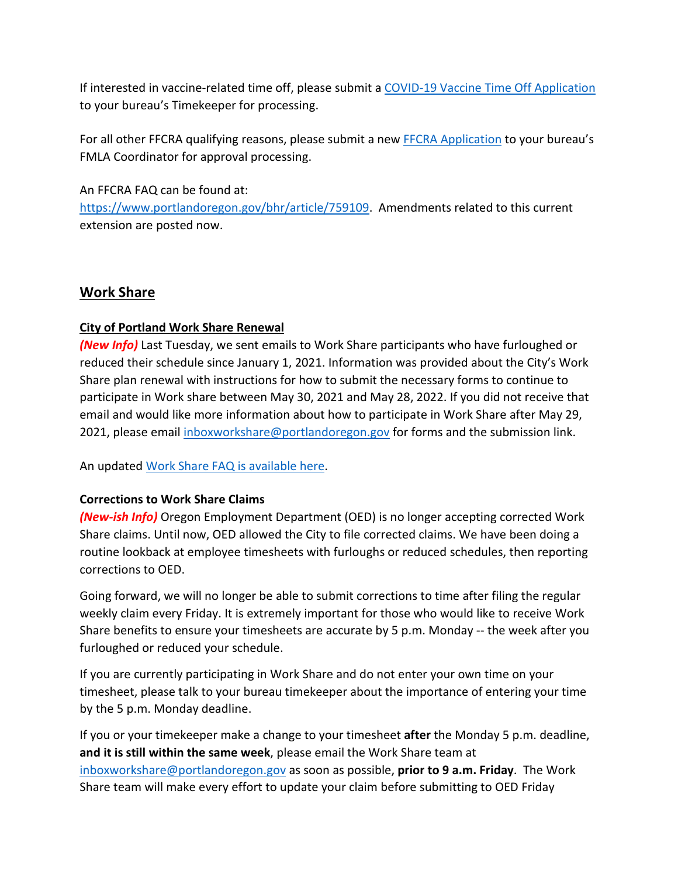If interested in vaccine-related time off, please submit a COVID-19 [Vaccine Time Off Application](https://www.portlandoregon.gov/bhr/article/782926) to your bureau's Timekeeper for processing.

For all other FFCRA qualifying reasons, please submit a new [FFCRA Application](https://www.portlandoregon.gov/bhr/80750) to your bureau's FMLA Coordinator for approval processing.

An FFCRA FAQ can be found at:

[https://www.portlandoregon.gov/bhr/article/759109.](https://www.portlandoregon.gov/bhr/article/759109) Amendments related to this current extension are posted now.

# <span id="page-2-0"></span>**Work Share**

# **City of Portland Work Share Renewal**

*(New Info)* Last Tuesday, we sent emails to Work Share participants who have furloughed or reduced their schedule since January 1, 2021. Information was provided about the City's Work Share plan renewal with instructions for how to submit the necessary forms to continue to participate in Work share between May 30, 2021 and May 28, 2022. If you did not receive that email and would like more information about how to participate in Work Share after May 29, 2021, please email [inboxworkshare@portlandoregon.gov](mailto:inboxworkshare@portlandoregon.gov) for forms and the submission link.

An updated [Work Share FAQ is available here.](https://www.portlandoregon.gov/bhr/article/761976)

# **Corrections to Work Share Claims**

*(New-ish Info)* Oregon Employment Department (OED) is no longer accepting corrected Work Share claims. Until now, OED allowed the City to file corrected claims. We have been doing a routine lookback at employee timesheets with furloughs or reduced schedules, then reporting corrections to OED.

Going forward, we will no longer be able to submit corrections to time after filing the regular weekly claim every Friday. It is extremely important for those who would like to receive Work Share benefits to ensure your timesheets are accurate by 5 p.m. Monday -- the week after you furloughed or reduced your schedule.

If you are currently participating in Work Share and do not enter your own time on your timesheet, please talk to your bureau timekeeper about the importance of entering your time by the 5 p.m. Monday deadline.

If you or your timekeeper make a change to your timesheet **after** the Monday 5 p.m. deadline, **and it is still within the same week**, please email the Work Share team at [inboxworkshare@portlandoregon.gov](mailto:inboxworkshare@portlandoregon.gov) as soon as possible, **prior to 9 a.m. Friday**. The Work Share team will make every effort to update your claim before submitting to OED Friday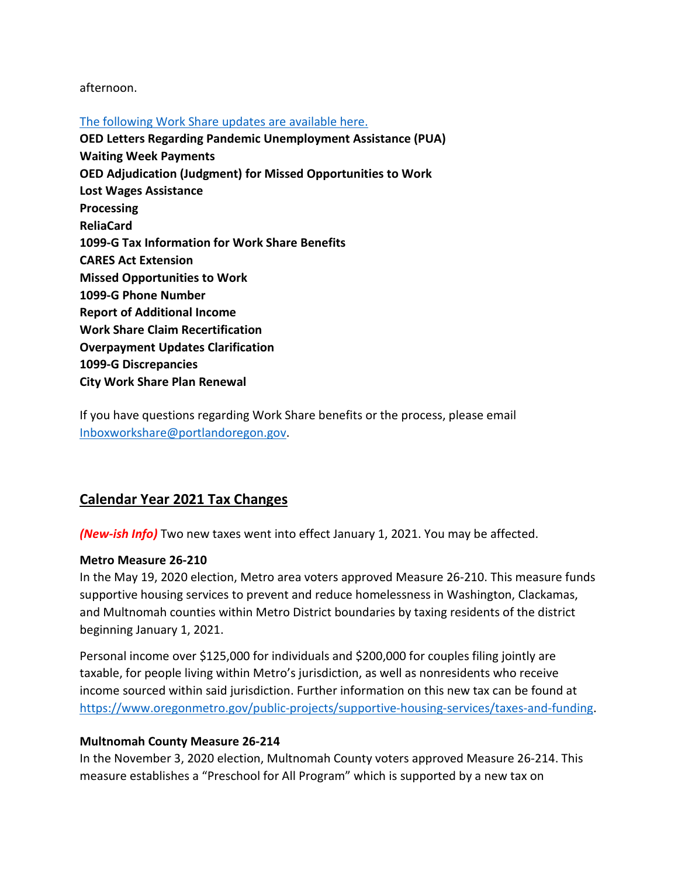#### afternoon.

#### [The following Work Share updates are available here.](https://www.portlandoregon.gov/bhr/article/782660)

**OED Letters Regarding Pandemic Unemployment Assistance (PUA) Waiting Week Payments OED Adjudication (Judgment) for Missed Opportunities to Work Lost Wages Assistance Processing ReliaCard 1099-G Tax Information for Work Share Benefits CARES Act Extension Missed Opportunities to Work 1099-G Phone Number Report of Additional Income Work Share Claim Recertification Overpayment Updates Clarification 1099-G Discrepancies City Work Share Plan Renewal**

If you have questions regarding Work Share benefits or the process, please email [Inboxworkshare@portlandoregon.gov.](mailto:Inboxworkshare@portlandoregon.gov)

# <span id="page-3-0"></span>**Calendar Year 2021 Tax Changes**

*(New-ish Info)* Two new taxes went into effect January 1, 2021. You may be affected.

#### **Metro Measure 26-210**

In the May 19, 2020 election, Metro area voters approved Measure 26-210. This measure funds supportive housing services to prevent and reduce homelessness in Washington, Clackamas, and Multnomah counties within Metro District boundaries by taxing residents of the district beginning January 1, 2021.

Personal income over \$125,000 for individuals and \$200,000 for couples filing jointly are taxable, for people living within Metro's jurisdiction, as well as nonresidents who receive income sourced within said jurisdiction. Further information on this new tax can be found at [https://www.oregonmetro.gov/public-projects/supportive-housing-services/taxes-and-funding.](https://www.oregonmetro.gov/public-projects/supportive-housing-services/taxes-and-funding)

#### **Multnomah County Measure 26-214**

In the November 3, 2020 election, Multnomah County voters approved Measure 26-214. This measure establishes a "Preschool for All Program" which is supported by a new tax on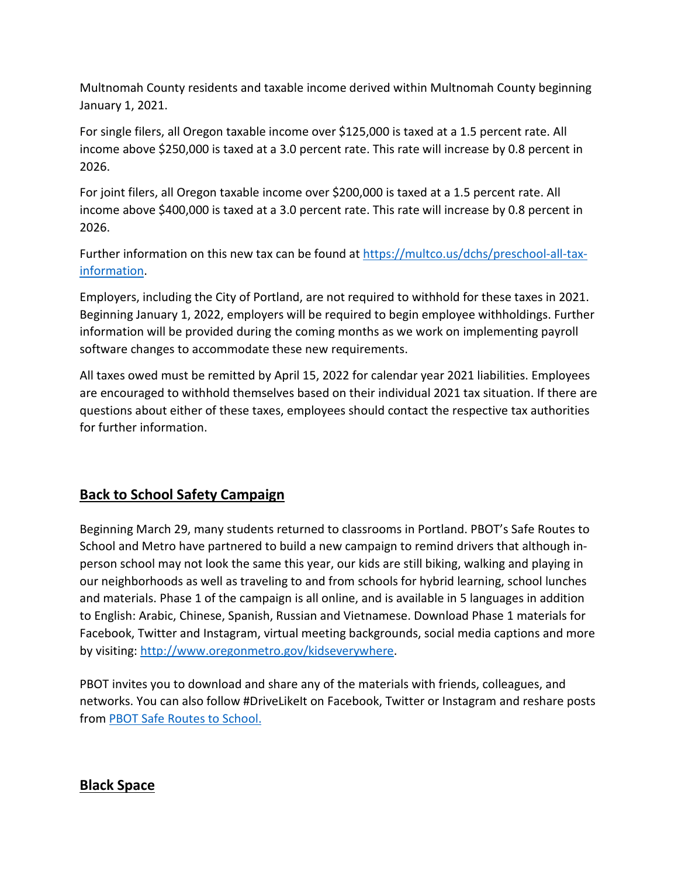Multnomah County residents and taxable income derived within Multnomah County beginning January 1, 2021.

For single filers, all Oregon taxable income over \$125,000 is taxed at a 1.5 percent rate. All income above \$250,000 is taxed at a 3.0 percent rate. This rate will increase by 0.8 percent in 2026.

For joint filers, all Oregon taxable income over \$200,000 is taxed at a 1.5 percent rate. All income above \$400,000 is taxed at a 3.0 percent rate. This rate will increase by 0.8 percent in 2026.

Further information on this new tax can be found at [https://multco.us/dchs/preschool-all-tax](https://multco.us/dchs/preschool-all-tax-information)[information.](https://multco.us/dchs/preschool-all-tax-information)

Employers, including the City of Portland, are not required to withhold for these taxes in 2021. Beginning January 1, 2022, employers will be required to begin employee withholdings. Further information will be provided during the coming months as we work on implementing payroll software changes to accommodate these new requirements.

All taxes owed must be remitted by April 15, 2022 for calendar year 2021 liabilities. Employees are encouraged to withhold themselves based on their individual 2021 tax situation. If there are questions about either of these taxes, employees should contact the respective tax authorities for further information.

# <span id="page-4-0"></span>**Back to School Safety Campaign**

Beginning March 29, many students returned to classrooms in Portland. PBOT's Safe Routes to School and Metro have partnered to build a new campaign to remind drivers that although inperson school may not look the same this year, our kids are still biking, walking and playing in our neighborhoods as well as traveling to and from schools for hybrid learning, school lunches and materials. Phase 1 of the campaign is all online, and is available in 5 languages in addition to English: Arabic, Chinese, Spanish, Russian and Vietnamese. Download Phase 1 materials for Facebook, Twitter and Instagram, virtual meeting backgrounds, social media captions and more by visiting[: http://www.oregonmetro.gov/kidseverywhere.](http://www.oregonmetro.gov/kidseverywhere)

PBOT invites you to download and share any of the materials with friends, colleagues, and networks. You can also follow #DriveLikeIt on Facebook, Twitter or Instagram and reshare posts from [PBOT Safe Routes to School.](https://www.facebook.com/PBOTSafeRoutes/)

# <span id="page-4-1"></span>**Black Space**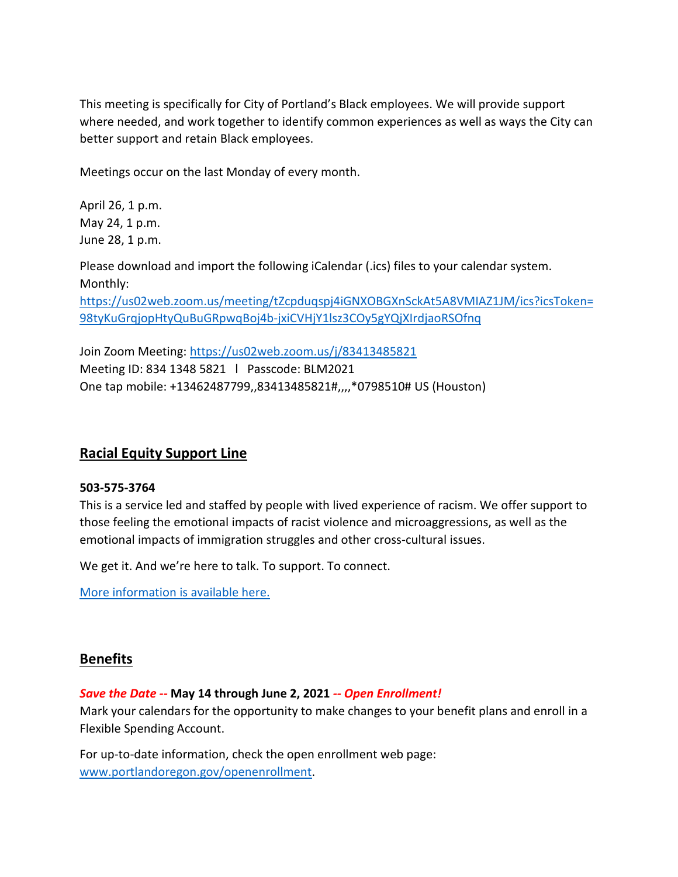This meeting is specifically for City of Portland's Black employees. We will provide support where needed, and work together to identify common experiences as well as ways the City can better support and retain Black employees.

Meetings occur on the last Monday of every month.

April 26, 1 p.m. May 24, 1 p.m. June 28, 1 p.m.

Please download and import the following iCalendar (.ics) files to your calendar system. Monthly:

[https://us02web.zoom.us/meeting/tZcpduqspj4iGNXOBGXnSckAt5A8VMIAZ1JM/ics?icsToken=](https://us02web.zoom.us/meeting/tZcpduqspj4iGNXOBGXnSckAt5A8VMIAZ1JM/ics?icsToken=98tyKuGrqjopHtyQuBuGRpwqBoj4b-jxiCVHjY1lsz3COy5gYQjXIrdjaoRSOfnq) [98tyKuGrqjopHtyQuBuGRpwqBoj4b-jxiCVHjY1lsz3COy5gYQjXIrdjaoRSOfnq](https://us02web.zoom.us/meeting/tZcpduqspj4iGNXOBGXnSckAt5A8VMIAZ1JM/ics?icsToken=98tyKuGrqjopHtyQuBuGRpwqBoj4b-jxiCVHjY1lsz3COy5gYQjXIrdjaoRSOfnq)

Join Zoom Meeting:<https://us02web.zoom.us/j/83413485821> Meeting ID: 834 1348 5821 l Passcode: BLM2021 One tap mobile: +13462487799,,83413485821#,,,,\*0798510# US (Houston)

# <span id="page-5-0"></span>**Racial Equity Support Line**

#### **503-575-3764**

This is a service led and staffed by people with lived experience of racism. We offer support to those feeling the emotional impacts of racist violence and microaggressions, as well as the emotional impacts of immigration struggles and other cross-cultural issues.

We get it. And we're here to talk. To support. To connect.

[More information is available here.](https://www.linesforlife.org/racial-equity-support-line/?fbclid=IwAR189nJCJbrA3RHn8r_cUZ29iBier77c2vNBIjGUew7aTDyc1DaC0SrDa7Q)

### <span id="page-5-1"></span>**Benefits**

#### *Save the Date --* **May 14 through June 2, 2021** *-- Open Enrollment!*

Mark your calendars for the opportunity to make changes to your benefit plans and enroll in a Flexible Spending Account.

For up-to-date information, check the open enrollment web page: [www.portlandoregon.gov/openenrollment.](http://www.portlandoregon.gov/openenrollment)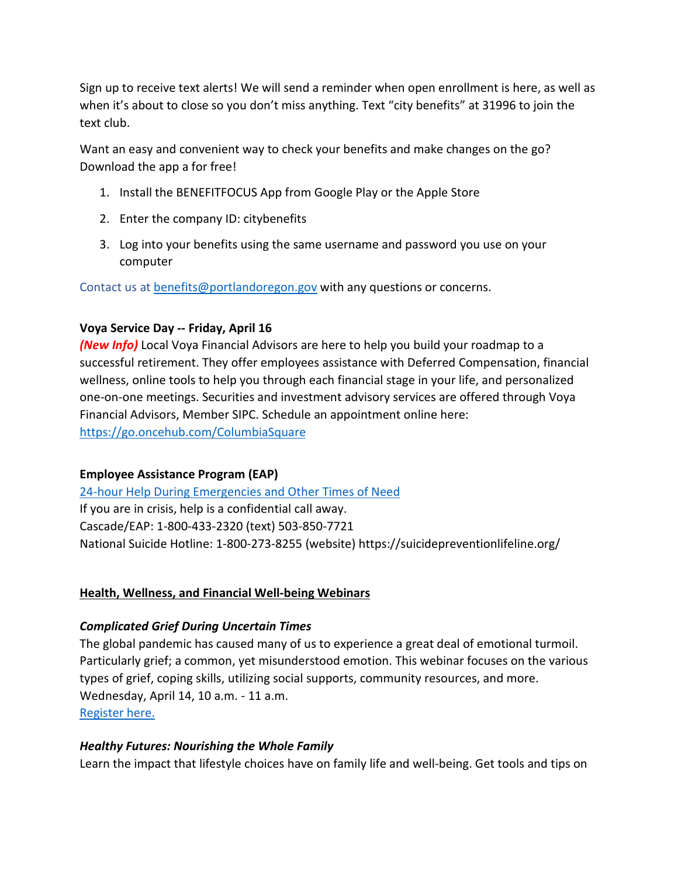Sign up to receive text alerts! We will send a reminder when open enrollment is here, as well as when it's about to close so you don't miss anything. Text "city benefits" at 31996 to join the text club.

Want an easy and convenient way to check your benefits and make changes on the go? Download the app a for free!

- 1. Install the BENEFITFOCUS App from Google Play or the Apple Store
- 2. Enter the company ID: citybenefits
- 3. Log into your benefits using the same username and password you use on your computer

Contact us at [benefits@portlandoregon.gov](mailto:benefits@portlandoregon.gov) with any questions or concerns.

### **Voya Service Day -- Friday, April 16**

*(New Info)* Local Voya Financial Advisors are here to help you build your roadmap to a successful retirement. They offer employees assistance with Deferred Compensation, financial wellness, online tools to help you through each financial stage in your life, and personalized one-on-one meetings. Securities and investment advisory services are offered through Voya Financial Advisors, Member SIPC. Schedule an appointment online here: <https://go.oncehub.com/ColumbiaSquare>

### **Employee Assistance Program (EAP)**

[24-hour Help During Emergencies and Other Times of Need](https://www.portlandoregon.gov/bhr/76512) If you are in crisis, help is a confidential call away. Cascade/EAP: 1-800-433-2320 (text) 503-850-7721 National Suicide Hotline: 1-800-273-8255 (website) https://suicidepreventionlifeline.org/

### **Health, Wellness, and Financial Well-being Webinars**

### *Complicated Grief During Uncertain Times*

The global pandemic has caused many of us to experience a great deal of emotional turmoil. Particularly grief; a common, yet misunderstood emotion. This webinar focuses on the various types of grief, coping skills, utilizing social supports, community resources, and more. Wednesday, April 14, 10 a.m. - 11 a.m. [Register here.](https://register.gotowebinar.com/register/5706198580417289996?mc_cid=3d86c0f256&mc_eid=8547be238e)

### *Healthy Futures: Nourishing the Whole Family*

Learn the impact that lifestyle choices have on family life and well-being. Get tools and tips on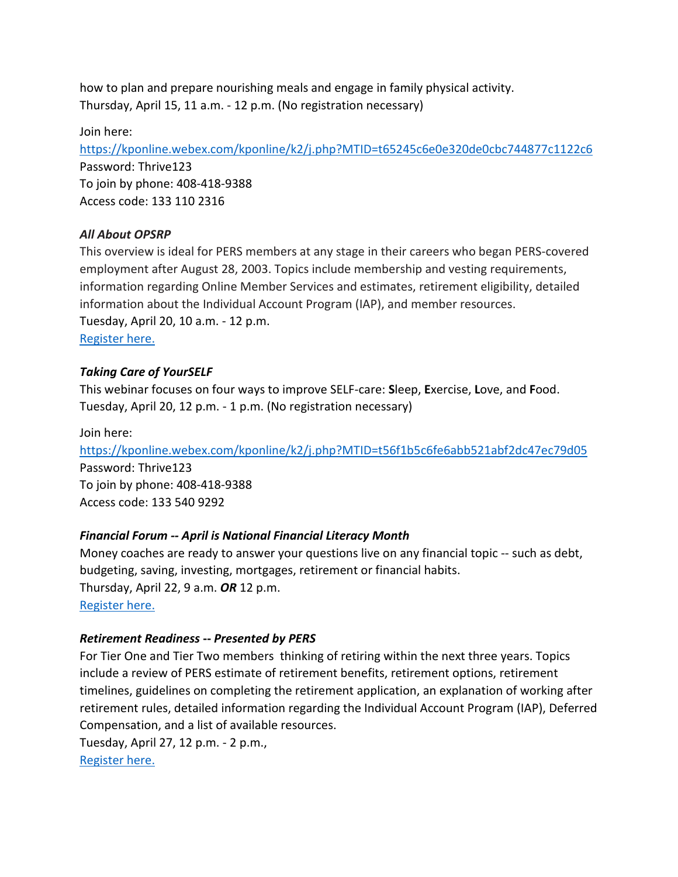how to plan and prepare nourishing meals and engage in family physical activity. Thursday, April 15, 11 a.m. - 12 p.m. (No registration necessary)

Join here:

<https://kponline.webex.com/kponline/k2/j.php?MTID=t65245c6e0e320de0cbc744877c1122c6> Password: Thrive123 To join by phone: 408-418-9388 Access code: 133 110 2316

### *All About OPSRP*

This overview is ideal for PERS members at any stage in their careers who began PERS-covered employment after August 28, 2003. Topics include membership and vesting requirements, information regarding Online Member Services and estimates, retirement eligibility, detailed information about the Individual Account Program (IAP), and member resources. Tuesday, April 20, 10 a.m. - 12 p.m. [Register here.](https://us02web.zoom.us/webinar/register/WN_mcmOfoXqQ5uHVo24OwMcMg)

## *Taking Care of YourSELF*

This webinar focuses on four ways to improve SELF-care: **S**leep, **E**xercise, **L**ove, and **F**ood. Tuesday, April 20, 12 p.m. - 1 p.m. (No registration necessary)

Join here: <https://kponline.webex.com/kponline/k2/j.php?MTID=t56f1b5c6fe6abb521abf2dc47ec79d05> Password: Thrive123 To join by phone: 408-418-9388 Access code: 133 540 9292

# *Financial Forum -- April is National Financial Literacy Month*

Money coaches are ready to answer your questions live on any financial topic -- such as debt, budgeting, saving, investing, mortgages, retirement or financial habits. Thursday, April 22, 9 a.m. *OR* 12 p.m. [Register here.](https://register.gotowebinar.com/rt/5458695211840252173?source=CSM&mc_cid=3d86c0f256&mc_eid=8547be238e)

### *Retirement Readiness* **--** *Presented by PERS*

For Tier One and Tier Two members thinking of retiring within the next three years. Topics include a review of PERS estimate of retirement benefits, retirement options, retirement timelines, guidelines on completing the retirement application, an explanation of working after retirement rules, detailed information regarding the Individual Account Program (IAP), Deferred Compensation, and a list of available resources.

Tuesday, April 27, 12 p.m. - 2 p.m., [Register here.](https://us02web.zoom.us/webinar/register/WN_pVbeuTMUQo2RXvGMlp_WOQ)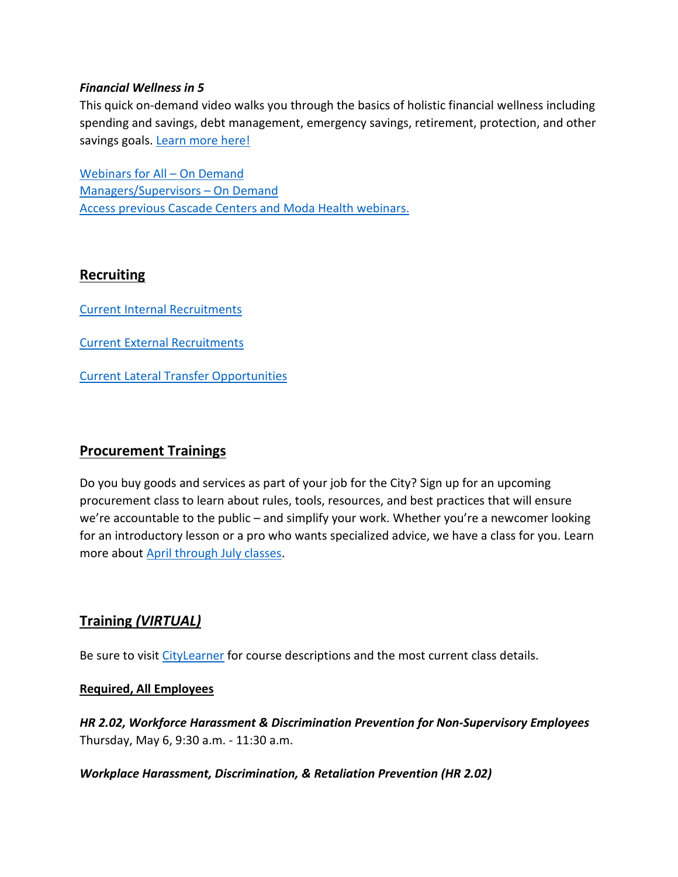#### *Financial Wellness in 5*

This quick on-demand video walks you through the basics of holistic financial wellness including spending and savings, debt management, emergency savings, retirement, protection, and other savings goals. [Learn more](https://www.voya.com/page/financial-wellness-5) here[!](https://www.voya.com/page/financial-wellness-5)

[Webinars for All –](https://cascade-gateway.lifeadvantages.net/module.php/core/loginuserpass.php?AuthState=_1a3a852f693adc187cf20e6ab784129a7005390dae%3Ahttps%3A%2F%2Fcascade-gateway.lifeadvantages.net%2Fsaml2%2Fidp%2FSSOService.php%3Fspentityid%3Dhttps%253A%252F%252Fsaml-01.personaladvantage.com%252Fsp%26cookieTime%3D1615310144%26RelayState%3Dss%253Amem%253A1d8e1b0ec14601a8153ab04497bc5fd0f0d50a5926308558f40d35a41079c199) On Demand [Managers/Supervisors –](https://www.portlandoregon.gov/bhr/article/750308) On Deman[d](https://www.portlandoregon.gov/bhr/article/750308) [Access previous Cascade Centers and Moda Health webinars.](https://www.portlandoregon.gov/bhr/index.cfm?&c=79368)

## <span id="page-8-0"></span>**Recruiting**

[Current Internal Recruitments](https://www.governmentjobs.com/careers/portlandor/promotionaljobs)

[Current External Recruitments](https://www.governmentjobs.com/careers/portlandor?)

[Current Lateral Transfer Opportunities](https://www.governmentjobs.com/careers/portlandor/transferjobs)

# <span id="page-8-1"></span>**Procurement Trainings**

Do you buy goods and services as part of your job for the City? Sign up for an upcoming procurement class to learn about rules, tools, resources, and best practices that will ensure we're accountable to the public – and simplify your work. Whether you're a newcomer looking for an introductory lesson or a pro who wants specialized advice, we have a class for you. Learn more about April [through July classes.](https://www.portlandoregon.gov/brfs/index.cfm?&a=780678)

# <span id="page-8-2"></span>**Training** *(VIRTUAL)*

Be sure to visit [CityLearner](https://www.portlandoregon.gov/bhr/article/446111) for course descriptions and the most current class details.

#### **Required, All Employees**

*HR 2.02, Workforce Harassment & Discrimination Prevention for Non-Supervisory Employees* Thursday, May 6, 9:30 a.m. - 11:30 a.m.

*Workplace Harassment, Discrimination, & Retaliation Prevention (HR 2.02)*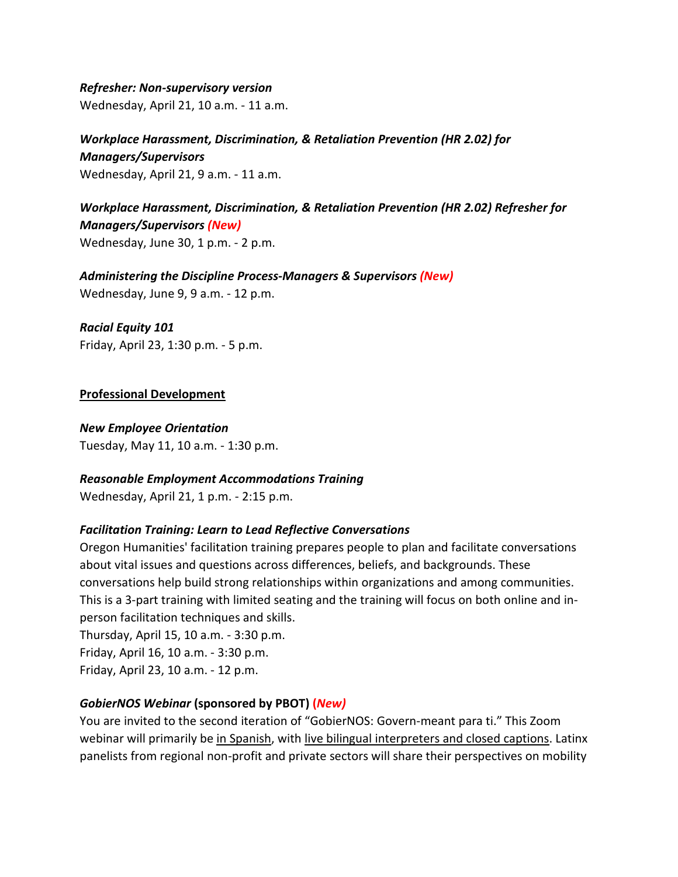*Refresher: Non-supervisory version*  Wednesday, April 21, 10 a.m. - 11 a.m.

*Workplace Harassment, Discrimination, & Retaliation Prevention (HR 2.02) for Managers/Supervisors*  Wednesday, April 21, 9 a.m. - 11 a.m.

*Workplace Harassment, Discrimination, & Retaliation Prevention (HR 2.02) Refresher for Managers/Supervisors (New)* Wednesday, June 30, 1 p.m. - 2 p.m.

*Administering the Discipline Process-Managers & Supervisors (New)* Wednesday, June 9, 9 a.m. - 12 p.m.

*Racial Equity 101* Friday, April 23, 1:30 p.m. - 5 p.m.

#### **Professional Development**

*New Employee Orientation* Tuesday, May 11, 10 a.m. - 1:30 p.m.

### *Reasonable Employment Accommodations Training*

Wednesday, April 21, 1 p.m. - 2:15 p.m.

### *Facilitation Training: Learn to Lead Reflective Conversations*

Oregon Humanities' facilitation training prepares people to plan and facilitate conversations about vital issues and questions across differences, beliefs, and backgrounds. These conversations help build strong relationships within organizations and among communities. This is a 3-part training with limited seating and the training will focus on both online and inperson facilitation techniques and skills.

Thursday, April 15, 10 a.m. - 3:30 p.m. Friday, April 16, 10 a.m. - 3:30 p.m. Friday, April 23, 10 a.m. - 12 p.m.

### *GobierNOS Webinar* **(sponsored by PBOT) (***New)*

You are invited to the second iteration of "GobierNOS: Govern-meant para ti." This Zoom webinar will primarily be in Spanish, with live bilingual interpreters and closed captions. Latinx panelists from regional non-profit and private sectors will share their perspectives on mobility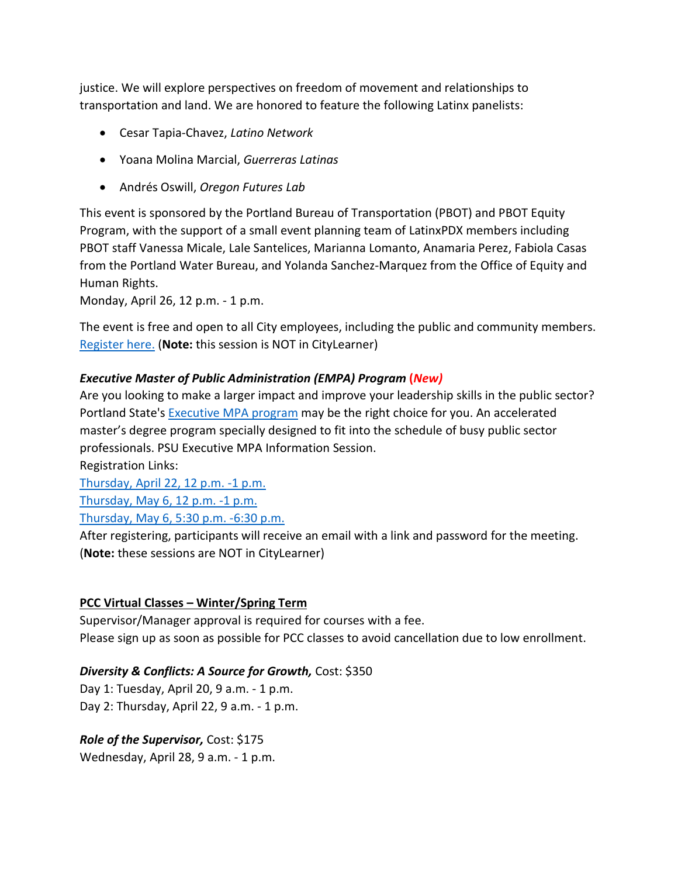justice. We will explore perspectives on freedom of movement and relationships to transportation and land. We are honored to feature the following Latinx panelists:

- Cesar Tapia-Chavez, *Latino Network*
- Yoana Molina Marcial, *Guerreras Latinas*
- Andrés Oswill, *Oregon Futures Lab*

This event is sponsored by the Portland Bureau of Transportation (PBOT) and PBOT Equity Program, with the support of a small event planning team of LatinxPDX members including PBOT staff Vanessa Micale, Lale Santelices, Marianna Lomanto, Anamaria Perez, Fabiola Casas from the Portland Water Bureau, and Yolanda Sanchez-Marquez from the Office of Equity and Human Rights.

Monday, April 26, 12 p.m. - 1 p.m.

The event is free and open to all City employees, including the public and community members. [Register here.](https://zoom.us/webinar/register/WN_8nJrtngNRnmUkCH4dSUQBw) (**Note:** this session is NOT in CityLearner)

### *Executive Master of Public Administration (EMPA) Program* **(***New)*

Are you looking to make a larger impact and improve your leadership skills in the public sector? Portland State's [Executive MPA program](https://ondeck.pdx.edu/public-administration/executive-master-public-administration) may be the right choice for you. An accelerated master's degree program specially designed to fit into the schedule of busy public sector professionals. PSU Executive MPA Information Session.

Registration Links:

[Thursday, April 22, 12 p.m. -1 p.m.](https://t.e2ma.net/click/zl5rrf/brdro3/7vusnr)

[Thursday, May 6, 12 p.m. -1 p.m.](https://t.e2ma.net/click/zl5rrf/brdro3/novsnr)

[Thursday, May 6, 5:30 p.m. -6:30 p.m.](https://t.e2ma.net/click/zl5rrf/brdro3/3gwsnr)

After registering, participants will receive an email with a link and password for the meeting. (**Note:** these sessions are NOT in CityLearner)

### **PCC Virtual Classes – Winter/Spring Term**

Supervisor/Manager approval is required for courses with a fee. Please sign up as soon as possible for PCC classes to avoid cancellation due to low enrollment.

### *Diversity & Conflicts: A Source for Growth,* Cost: \$350

Day 1: Tuesday, April 20, 9 a.m. - 1 p.m. Day 2: Thursday, April 22, 9 a.m. - 1 p.m.

*Role of the Supervisor,* Cost: \$175

Wednesday, April 28, 9 a.m. - 1 p.m.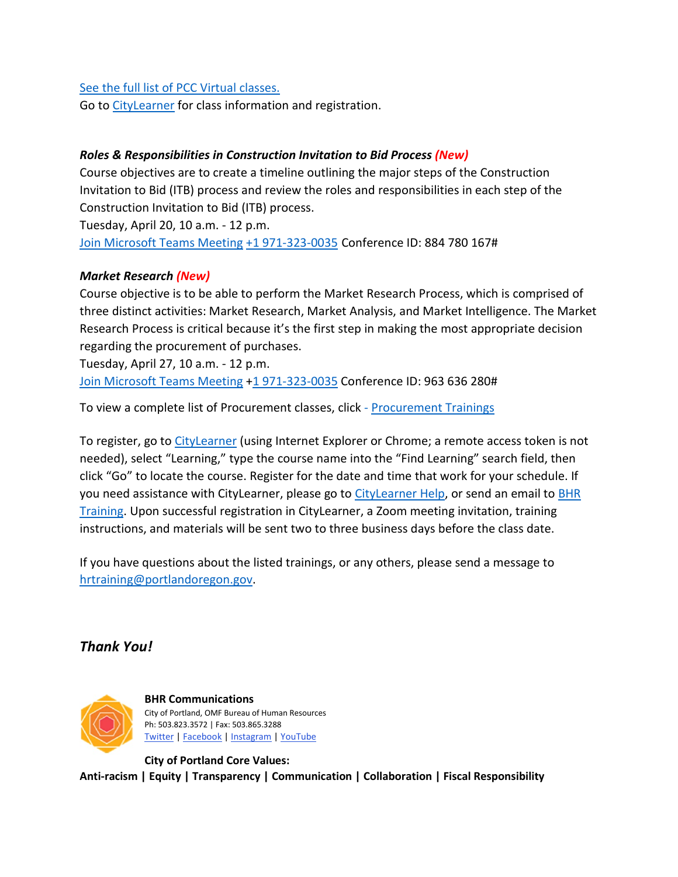#### See [the full list of PCC Virtual classes.](https://www.portlandoregon.gov/bhr/article/503337)

Go t[o CityLearner](https://www.portlandoregon.gov/bhr/article/446111) for class information and registration.

## *Roles & Responsibilities in Construction Invitation to Bid Process (New)*

Course objectives are to create a timeline outlining the major steps of the Construction Invitation to Bid (ITB) process and review the roles and responsibilities in each step of the Construction Invitation to Bid (ITB) process. Tuesday, April 20, 10 a.m. - 12 p.m.

[Join Microsoft Teams Meeting](https://teams.microsoft.com/l/meetup-join/19%3ameeting_ZTQzMjRmNzUtYjc3Yi00YzM4LTlmYjEtOGIyNWYzMWVhODZi%40thread.v2/0?context=%7b%22Tid%22%3a%22636d7808-73c9-41a7-97aa-8c4733642141%22%2c%22Oid%22%3a%2286b2ae6e-2fe6-44ca-9974-4b60b2e2cd99%22%7d) [+1 971-323-0035](tel:+1%20971-323-0035,,884780167) Conference ID: 884 780 167#

#### *Market Research (New)*

Course objective is to be able to perform the Market Research Process, which is comprised of three distinct activities: Market Research, Market Analysis, and Market Intelligence. The Market Research Process is critical because it's the first step in making the most appropriate decision regarding the procurement of purchases.

Tuesday, April 27, 10 a.m. - 12 p.m. [Join Microsoft Teams Meeting](https://teams.microsoft.com/dl/launcher/launcher.html?url=%2F_%23%2Fl%2Fmeetup-join%2F19%3Ameeting_YTUwYjg0ODEtMTZiMS00ZmRlLThjODctZDE5NDdkNzg1ZTdh%40thread.v2%2F0%3Fcontext%3D%257b%2522Tid%2522%253a%2522636d7808-73c9-41a7-97aa-8c4733642141%2522%252c%2522Oid%2522%253a%252286b2ae6e-2fe6-44ca-9974-4b60b2e2cd99%2522%257d%26anon%3Dtrue&type=meetup-join&deeplinkId=6c066d0b-0725-464d-9d13-2c553e9124ae&directDl=true&msLaunch=true&enableMobilePage=true) [+1 971-323-0035](tel:+1%20971-323-0035,,355477073#%20) Conference ID: 963 636 280#

To view a complete list of Procurement classes, click - Procurement Trainings

To register, go to [CityLearner](https://www.portlandoregon.gov/bhr/article/446111) (using Internet Explorer or Chrome; a remote access token is not needed), select "Learning," type the course name into the "Find Learning" search field, then click "Go" to locate the course. Register for the date and time that work for your schedule. If you need assistance with CityLearner, please go to [CityLearner Help,](https://www.portlandoregon.gov/bhr/69963) or send an email to [BHR](mailto:hrtraining@portlandoregon.gov)  [Training.](mailto:hrtraining@portlandoregon.gov) Upon successful registration in CityLearner, a Zoom meeting invitation, training instructions, and materials will be sent two to three business days before the class date.

If you have questions about the listed trainings, or any others, please send a message to [hrtraining@portlandoregon.gov.](mailto:hrtraining@portlandoregon.gov)

# *Thank You!*



**BHR Communications**  City of Portland, OMF Bureau of Human Resources Ph: 503.823.3572 | Fax: 503.865.3288 [Twitter](https://twitter.com/PortlandGov) [| Facebook](https://www.facebook.com/PortlandORGov/?__tn__=kHH-R) [| Instagram](https://www.instagram.com/portlandgov/) [| YouTube](https://www.youtube.com/channel/UC6GPv_4TEzY3JFrXUgFlZzQ?view_as=subscriber)

**City of Portland Core Values: Anti-racism | Equity | Transparency | Communication | Collaboration | Fiscal Responsibility**